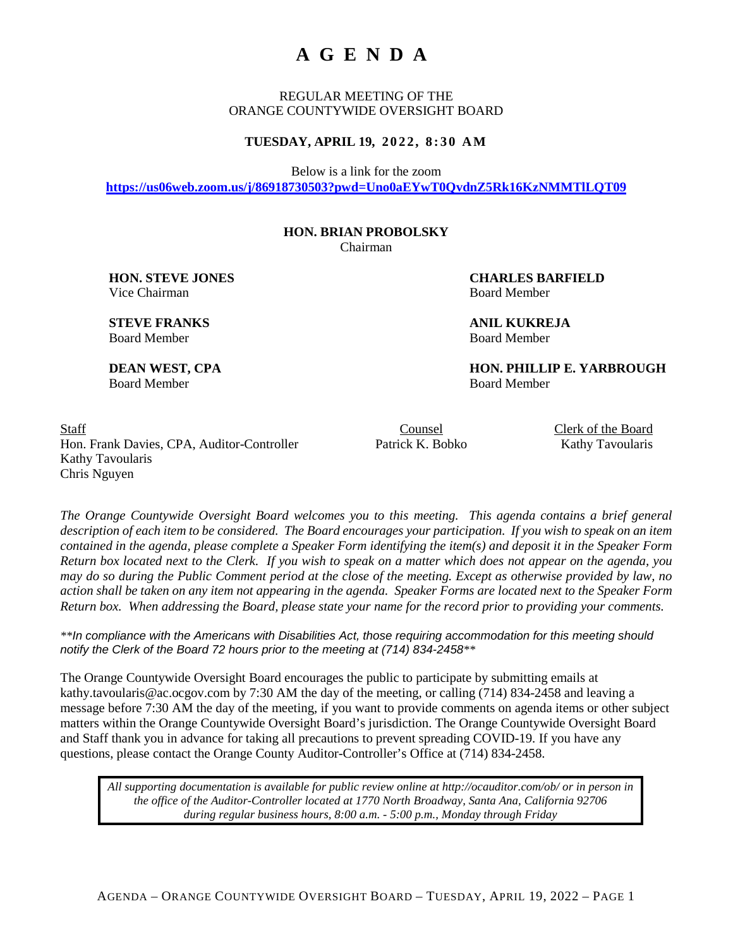# **AGENDA**

REGULAR MEETING OF THE ORANGE COUNTYWIDE OVERSIGHT BOARD

### **TUESDAY, APRIL 19, 2 0 2 2 , 8 :30 AM**

Below is a link for the zoom

**[https://us06web.zoom.us/j/86918730503?pwd=Uno0aEYwT0QvdnZ5Rk16KzNMMTlLQT09](https://urldefense.com/v3/__https:/us06web.zoom.us/j/86918730503?pwd=Uno0aEYwT0QvdnZ5Rk16KzNMMTlLQT09__;!!KL1yqyOaGX2drUI!xMZcneuGIKNG47eDmUaXn7YrJ4tDhnvajtad0qrzX29hIaWO8TC1fjI7gHSif271uH_OMq6q$)**

## **HON. BRIAN PROBOLSKY**

Chairman

**HON. STEVE JONES CHARLES BARFIELD** Vice Chairman Board Member

**STEVE FRANKS ANIL KUKREJA** Board Member Board Member

**DEAN WEST, CPA HON. PHILLIP E. YARBROUGH** 

Board Member Board Member

Staff Counsel Counsel Counsel Clerk of the Board Hon. Frank Davies, CPA, Auditor-Controller Patrick K. Bobko Kathy Tavoularis Kathy Tavoularis Chris Nguyen

*The Orange Countywide Oversight Board welcomes you to this meeting. This agenda contains a brief general description of each item to be considered. The Board encourages your participation. If you wish to speak on an item contained in the agenda, please complete a Speaker Form identifying the item(s) and deposit it in the Speaker Form Return box located next to the Clerk. If you wish to speak on a matter which does not appear on the agenda, you may do so during the Public Comment period at the close of the meeting. Except as otherwise provided by law, no action shall be taken on any item not appearing in the agenda. Speaker Forms are located next to the Speaker Form Return box. When addressing the Board, please state your name for the record prior to providing your comments.*

*\*\*In compliance with the Americans with Disabilities Act, those requiring accommodation for this meeting should notify the Clerk of the Board 72 hours prior to the meeting at (714) 834-2458\*\**

The Orange Countywide Oversight Board encourages the public to participate by submitting emails at kathy.tavoularis@ac.ocgov.com by 7:30 AM the day of the meeting, or calling (714) 834-2458 and leaving a message before 7:30 AM the day of the meeting, if you want to provide comments on agenda items or other subject matters within the Orange Countywide Oversight Board's jurisdiction. The Orange Countywide Oversight Board and Staff thank you in advance for taking all precautions to prevent spreading COVID-19. If you have any questions, please contact the Orange County Auditor-Controller's Office at (714) 834-2458.

*All supporting documentation is available for public review online at http://ocauditor.com/ob/ or in person in the office of the Auditor-Controller located at 1770 North Broadway, Santa Ana, California 92706 during regular business hours, 8:00 a.m. - 5:00 p.m., Monday through Friday*